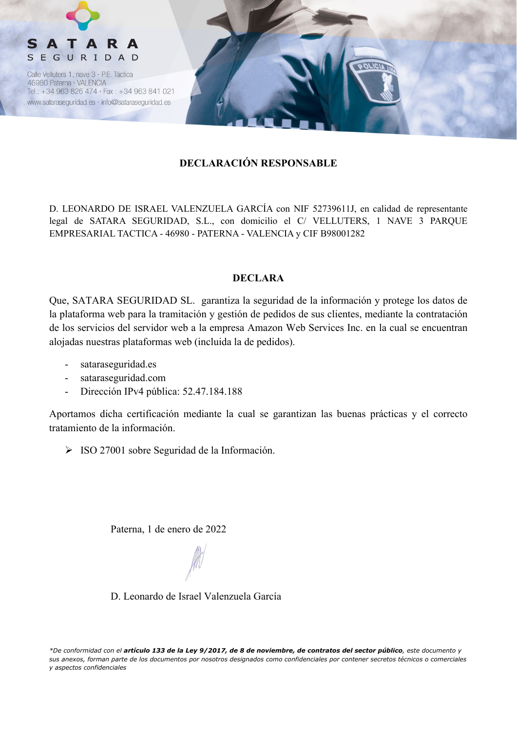

Calle Velluters 1, nave 3 · P.E. Táctica 46980 Paterna · VALENCIA Tel.: +34 963 826 474 · Fax: +34 963 841 021 www.satarasequridad.es · info@satarasequridad.es



#### **DECLARACIÓN RESPONSABLE**

D. LEONARDO DE ISRAEL VALENZUELA GARCÍA con NIF 52739611J, en calidad de representante legal de SATARA SEGURIDAD, S.L., con domicilio el C/ VELLUTERS, 1 NAVE 3 PARQUE EMPRESARIAL TACTICA - 46980 - PATERNA - VALENCIA y CIF B98001282

#### **DECLARA**

Que, SATARA SEGURIDAD SL. garantiza la seguridad de la información y protege los datos de la plataforma web para la tramitación y gestión de pedidos de sus clientes, mediante la contratación de los servicios del servidor web a la empresa Amazon Web Services Inc. en la cual se encuentran alojadas nuestras plataformas web (incluida la de pedidos).

- sataraseguridad.es
- sataraseguridad.com
- Dirección IPv4 pública: 52.47.184.188

Aportamos dicha certificación mediante la cual se garantizan las buenas prácticas y el correcto tratamiento de la información.

ISO 27001 sobre Seguridad de la Información.

Paterna, 1 de enero de 2022

D. Leonardo de Israel Valenzuela García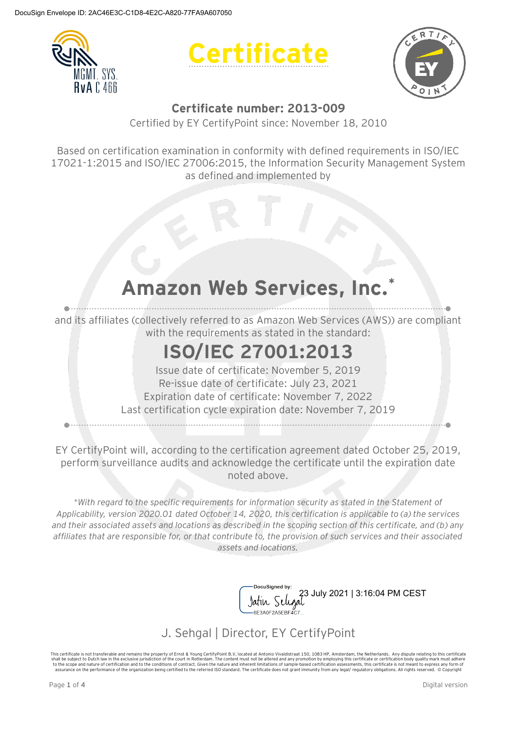





#### **Certificate number: 2013-009**

Certified by EY CertifyPoint since: November 18, 2010

Based on certification examination in conformity with defined requirements in ISO/IEC 17021-1:2015 and ISO/IEC 27006:2015, the Information Security Management System as defined and implemented by

## **Amazon Web Services, Ind.**

and its affiliates (collectively referred to as Amazon Web Services (AWS)) are compliant with the requirements as stated in the standard:

## **ISO/IEC 27001:2013**

Issue date of certificate: November 5, 2019 Re-issue date of certificate: July 23, 2021 Expiration date of certificate: November 7, 2022 Last certification cycle expiration date: November 7, 2019

EY CertifyPoint will, according to the certification agreement dated October 25, 2019, perform surveillance audits and acknowledge the certificate until the expiration date noted above.

*\*With regard to the specific requirements for information security as stated in the Statement of Applicability, version 2020.01 dated October 14, 2020, this certification is applicable to (a) the services and their associated assets and locations as described in the scoping section of this certificate, and (b) any affiliates that are responsible for, or that contribute to, the provision of such services and their associated assets and locations.*

> 23 July 2021 | 3:16:04 PM CESTJatin Seli AF3A0F2A5FRF4

#### J. Sehgal | Director, EY CertifyPoint

This certificate is not transferable and remains the property of Ernst & Young CertifyPoint B.V, located at Antonio Vivaldistraat 150, 1083 HP, Amsterdam, the Netherlands. Any dispute relating to this certificate is not th assurance on the performance of the organization being certified to the referred ISO standard. The certificate does not grant immunity from any legal/ regulatory obligations. All rights reserved. © Copyright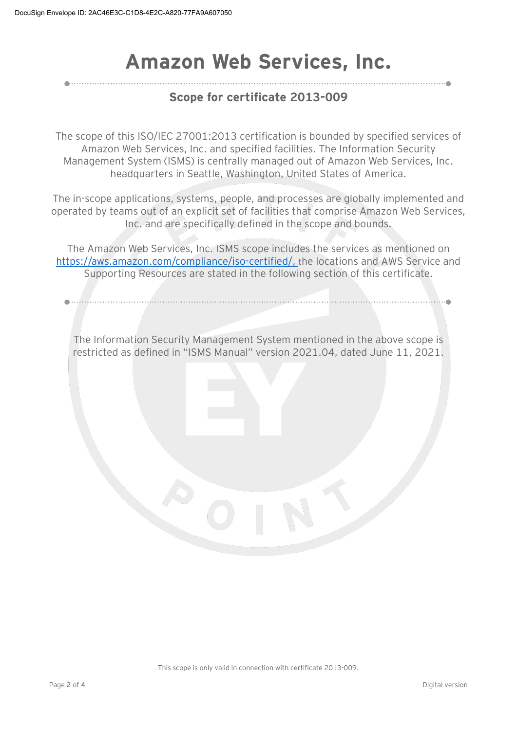## **Amazon Web Services, Inc.**

### **Scope for certificate 2013-009**

The scope of this ISO/IEC 27001:2013 certification is bounded by specified services of Amazon Web Services, Inc. and specified facilities. The Information Security Management System (ISMS) is centrally managed out of Amazon Web Services, Inc. headquarters in Seattle, Washington, United States of America.

The in-scope applications, systems, people, and processes are globally implemented and operated by teams out of an explicit set of facilities that comprise Amazon Web Services, Inc. and are specifically defined in the scope and bounds.

The Amazon Web Services, Inc. ISMS scope includes the services as mentioned on [https://aws.amazon.com/compliance/iso-certified/,](https://aws.amazon.com/compliance/iso-certified/) the locations and AWS Service and Supporting Resources are stated in the following section of this certificate.

The Information Security Management System mentioned in the above scope is restricted as defined in "ISMS Manual" version 2021.04, dated June 11, 2021.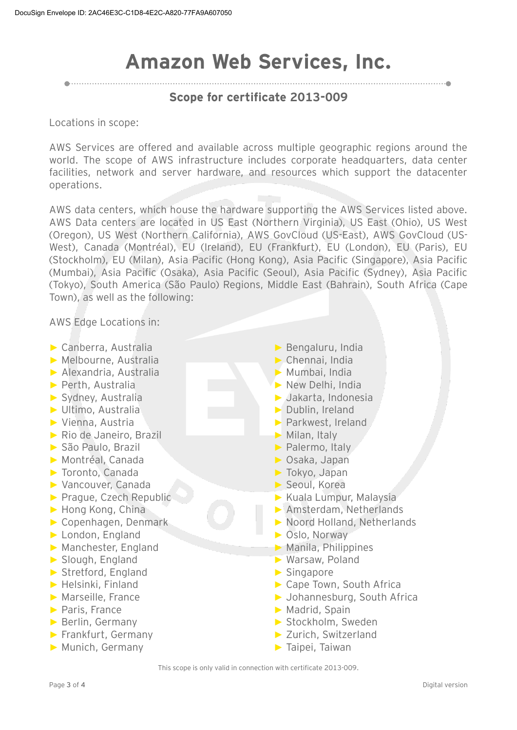## **Amazon Web Services, Inc.**

### **Scope for certificate 2013-009**

Locations in scope:

AWS Services are offered and available across multiple geographic regions around the world. The scope of AWS infrastructure includes corporate headquarters, data center facilities, network and server hardware, and resources which support the datacenter operations.

AWS data centers, which house the hardware supporting the AWS Services listed above. AWS Data centers are located in US East (Northern Virginia), US East (Ohio), US West (Oregon), US West (Northern California), AWS GovCloud (US-East), AWS GovCloud (US-West), Canada (Montréal), EU (Ireland), EU (Frankfurt), EU (London), EU (Paris), EU (Stockholm), EU (Milan), Asia Pacific (Hong Kong), Asia Pacific (Singapore), Asia Pacific (Mumbai), Asia Pacific (Osaka), Asia Pacific (Seoul), Asia Pacific (Sydney), Asia Pacific (Tokyo), South America (São Paulo) Regions, Middle East (Bahrain), South Africa (Cape Town), as well as the following:

AWS Edge Locations in:

- ► Canberra, Australia
- ► Melbourne, Australia
- ► Alexandria, Australia
- ► Perth, Australia
- ► Sydney, Australia
- ► Ultimo, Australia
- ► Vienna, Austria
- ► Rio de Janeiro, Brazil
- ► São Paulo, Brazil
- ► Montréal, Canada
- ► Toronto, Canada
- ► Vancouver, Canada
- ► Prague, Czech Republic
- ► Hong Kong, China
- ► Copenhagen, Denmark
- ► London, England
- ► Manchester, England
- ► Slough, England
- ► Stretford, England
- ► Helsinki, Finland
- ► Marseille, France
- ► Paris, France
- ► Berlin, Germany
- ► Frankfurt, Germany
- ► Munich, Germany
- ► Bengaluru, India
- ► Chennai, India
- ► Mumbai, India
- ► New Delhi, India
- ► Jakarta, Indonesia
- ► Dublin, Ireland
- ► Parkwest, Ireland
- ► Milan, Italy
- ► Palermo, Italy
- ► Osaka, Japan
- ► Tokyo, Japan
- ► Seoul, Korea
- ► Kuala Lumpur, Malaysia
- ► Amsterdam, Netherlands
- ► Noord Holland, Netherlands
- ► Oslo, Norway
- ► Manila, Philippines
- ► Warsaw, Poland
- ► Singapore
- ► Cape Town, South Africa
- ► Johannesburg, South Africa
- ► Madrid, Spain
- ► Stockholm, Sweden
- ► Zurich, Switzerland
- ► Taipei, Taiwan

This scope is only valid in connection with certificate 2013-009.